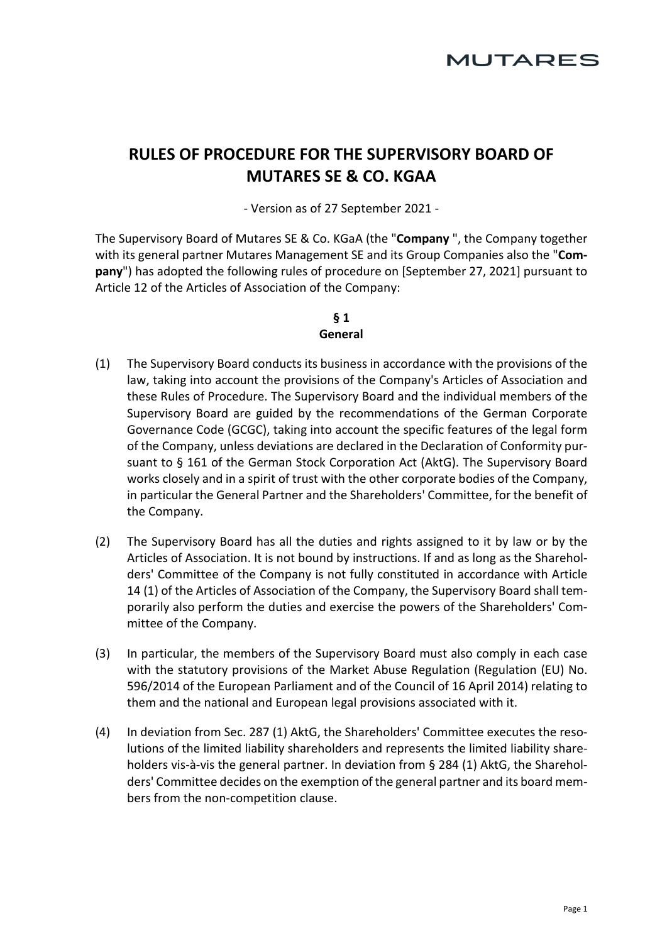# **RULES OF PROCEDURE FOR THE SUPERVISORY BOARD OF MUTARES SE & CO. KGAA**

- Version as of 27 September 2021 -

The Supervisory Board of Mutares SE & Co. KGaA (the "**Company** ", the Company together with its general partner Mutares Management SE and its Group Companies also the "**Company**") has adopted the following rules of procedure on [September 27, 2021] pursuant to Article 12 of the Articles of Association of the Company:

## **§ 1 General**

- (1) The Supervisory Board conducts its business in accordance with the provisions of the law, taking into account the provisions of the Company's Articles of Association and these Rules of Procedure. The Supervisory Board and the individual members of the Supervisory Board are guided by the recommendations of the German Corporate Governance Code (GCGC), taking into account the specific features of the legal form of the Company, unless deviations are declared in the Declaration of Conformity pursuant to § 161 of the German Stock Corporation Act (AktG). The Supervisory Board works closely and in a spirit of trust with the other corporate bodies of the Company, in particular the General Partner and the Shareholders' Committee, for the benefit of the Company.
- (2) The Supervisory Board has all the duties and rights assigned to it by law or by the Articles of Association. It is not bound by instructions. If and as long as the Shareholders' Committee of the Company is not fully constituted in accordance with Article 14 (1) of the Articles of Association of the Company, the Supervisory Board shall temporarily also perform the duties and exercise the powers of the Shareholders' Committee of the Company.
- (3) In particular, the members of the Supervisory Board must also comply in each case with the statutory provisions of the Market Abuse Regulation (Regulation (EU) No. 596/2014 of the European Parliament and of the Council of 16 April 2014) relating to them and the national and European legal provisions associated with it.
- (4) In deviation from Sec. 287 (1) AktG, the Shareholders' Committee executes the resolutions of the limited liability shareholders and represents the limited liability shareholders vis-à-vis the general partner. In deviation from § 284 (1) AktG, the Shareholders' Committee decides on the exemption of the general partner and its board members from the non-competition clause.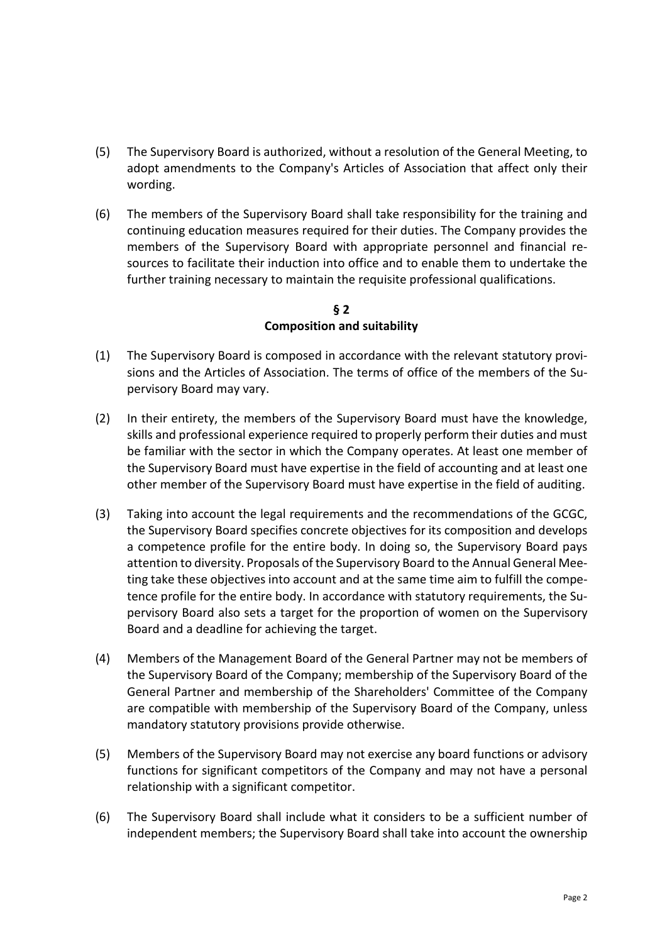- (5) The Supervisory Board is authorized, without a resolution of the General Meeting, to adopt amendments to the Company's Articles of Association that affect only their wording.
- (6) The members of the Supervisory Board shall take responsibility for the training and continuing education measures required for their duties. The Company provides the members of the Supervisory Board with appropriate personnel and financial resources to facilitate their induction into office and to enable them to undertake the further training necessary to maintain the requisite professional qualifications.

#### **§ 2 Composition and suitability**

- (1) The Supervisory Board is composed in accordance with the relevant statutory provisions and the Articles of Association. The terms of office of the members of the Supervisory Board may vary.
- (2) In their entirety, the members of the Supervisory Board must have the knowledge, skills and professional experience required to properly perform their duties and must be familiar with the sector in which the Company operates. At least one member of the Supervisory Board must have expertise in the field of accounting and at least one other member of the Supervisory Board must have expertise in the field of auditing.
- (3) Taking into account the legal requirements and the recommendations of the GCGC, the Supervisory Board specifies concrete objectives for its composition and develops a competence profile for the entire body. In doing so, the Supervisory Board pays attention to diversity. Proposals of the Supervisory Board to the Annual General Meeting take these objectives into account and at the same time aim to fulfill the competence profile for the entire body. In accordance with statutory requirements, the Supervisory Board also sets a target for the proportion of women on the Supervisory Board and a deadline for achieving the target.
- (4) Members of the Management Board of the General Partner may not be members of the Supervisory Board of the Company; membership of the Supervisory Board of the General Partner and membership of the Shareholders' Committee of the Company are compatible with membership of the Supervisory Board of the Company, unless mandatory statutory provisions provide otherwise.
- (5) Members of the Supervisory Board may not exercise any board functions or advisory functions for significant competitors of the Company and may not have a personal relationship with a significant competitor.
- (6) The Supervisory Board shall include what it considers to be a sufficient number of independent members; the Supervisory Board shall take into account the ownership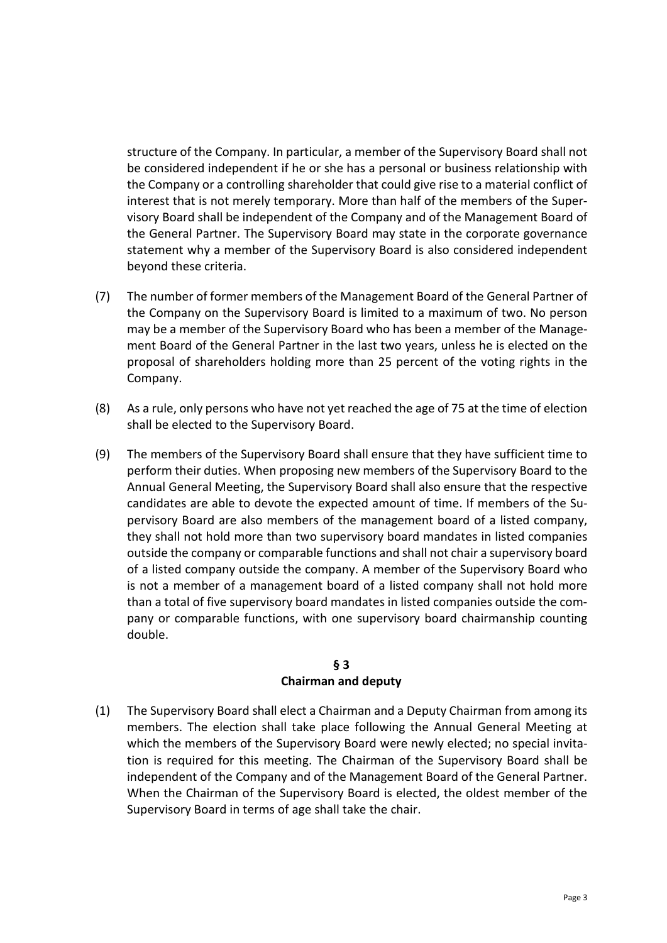structure of the Company. In particular, a member of the Supervisory Board shall not be considered independent if he or she has a personal or business relationship with the Company or a controlling shareholder that could give rise to a material conflict of interest that is not merely temporary. More than half of the members of the Supervisory Board shall be independent of the Company and of the Management Board of the General Partner. The Supervisory Board may state in the corporate governance statement why a member of the Supervisory Board is also considered independent beyond these criteria.

- (7) The number of former members of the Management Board of the General Partner of the Company on the Supervisory Board is limited to a maximum of two. No person may be a member of the Supervisory Board who has been a member of the Management Board of the General Partner in the last two years, unless he is elected on the proposal of shareholders holding more than 25 percent of the voting rights in the Company.
- (8) As a rule, only persons who have not yet reached the age of 75 at the time of election shall be elected to the Supervisory Board.
- (9) The members of the Supervisory Board shall ensure that they have sufficient time to perform their duties. When proposing new members of the Supervisory Board to the Annual General Meeting, the Supervisory Board shall also ensure that the respective candidates are able to devote the expected amount of time. If members of the Supervisory Board are also members of the management board of a listed company, they shall not hold more than two supervisory board mandates in listed companies outside the company or comparable functions and shall not chair a supervisory board of a listed company outside the company. A member of the Supervisory Board who is not a member of a management board of a listed company shall not hold more than a total of five supervisory board mandates in listed companies outside the company or comparable functions, with one supervisory board chairmanship counting double.

#### **§ 3 Chairman and deputy**

(1) The Supervisory Board shall elect a Chairman and a Deputy Chairman from among its members. The election shall take place following the Annual General Meeting at which the members of the Supervisory Board were newly elected; no special invitation is required for this meeting. The Chairman of the Supervisory Board shall be independent of the Company and of the Management Board of the General Partner. When the Chairman of the Supervisory Board is elected, the oldest member of the Supervisory Board in terms of age shall take the chair.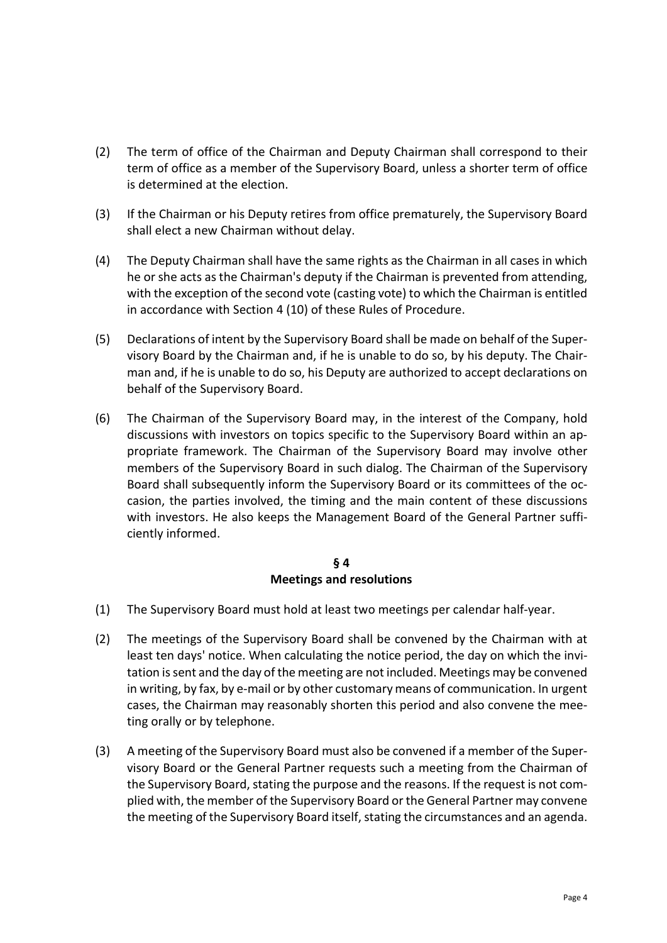- (2) The term of office of the Chairman and Deputy Chairman shall correspond to their term of office as a member of the Supervisory Board, unless a shorter term of office is determined at the election.
- (3) If the Chairman or his Deputy retires from office prematurely, the Supervisory Board shall elect a new Chairman without delay.
- (4) The Deputy Chairman shall have the same rights as the Chairman in all cases in which he or she acts as the Chairman's deputy if the Chairman is prevented from attendin[g,](#page-3-0)  [with the e](#page-3-0)xception of the second vote (casting vote) to which the Chairman is entitled in accordance with [Section 4 \(](#page-3-0)[10\) o](#page-5-0)f these Rules of Procedure.
- (5) Declarations of intent by the Supervisory Board shall be made on behalf of the Supervisory Board by the Chairman and, if he is unable to do so, by his deputy. The Chairman and, if he is unable to do so, his Deputy are authorized to accept declarations on behalf of the Supervisory Board.
- (6) The Chairman of the Supervisory Board may, in the interest of the Company, hold discussions with investors on topics specific to the Supervisory Board within an appropriate framework. The Chairman of the Supervisory Board may involve other members of the Supervisory Board in such dialog. The Chairman of the Supervisory Board shall subsequently inform the Supervisory Board or its committees of the occasion, the parties involved, the timing and the main content of these discussions with investors. He also keeps the Management Board of the General Partner sufficiently informed.

#### **§ 4 Meetings and resolutions**

- <span id="page-3-0"></span>(1) The Supervisory Board must hold at least two meetings per calendar half-year.
- <span id="page-3-1"></span>(2) The meetings of the Supervisory Board shall be convened by the Chairman with at least ten days' notice. When calculating the notice period, the day on which the invitation is sent and the day of the meeting are not included. Meetings may be convened in writing, by fax, by e-mail or by other customary means of communication. In urgent cases, the Chairman may reasonably shorten this period and also convene the meeting orally or by telephone.
- (3) A meeting of the Supervisory Board must also be convened if a member of the Supervisory Board or the General Partner requests such a meeting from the Chairman of the Supervisory Board, stating the purpose and the reasons. If the request is not complied with, the member of the Supervisory Board or the General Partner may convene the meeting of the Supervisory Board itself, stating the circumstances and an agenda.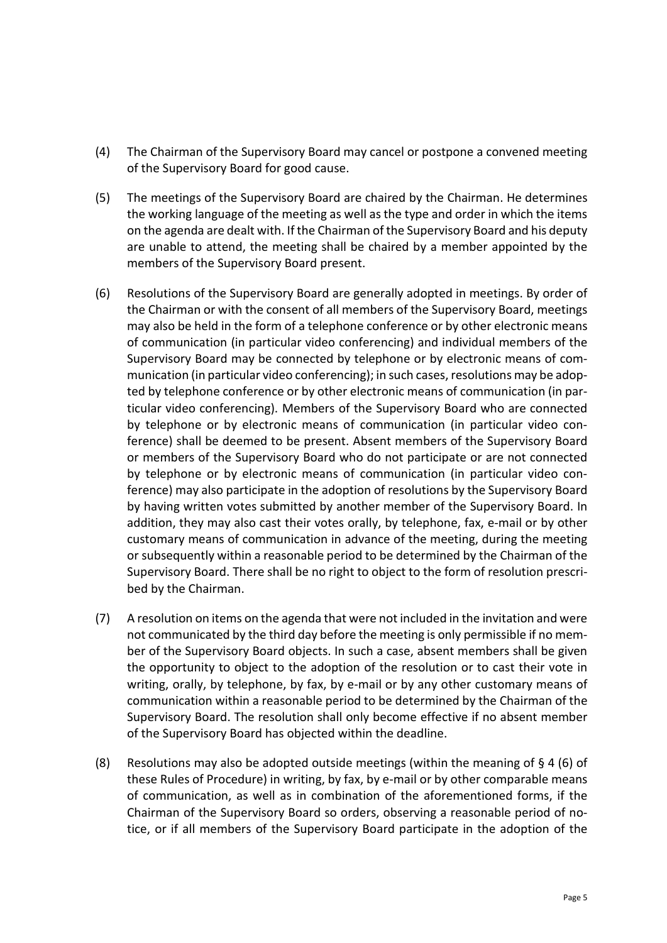- (4) The Chairman of the Supervisory Board may cancel or postpone a convened meeting of the Supervisory Board for good cause.
- (5) The meetings of the Supervisory Board are chaired by the Chairman. He determines the working language of the meeting as well as the type and order in which the items on the agenda are dealt with. If the Chairman of the Supervisory Board and his deputy are unable to attend, the meeting shall be chaired by a member appointed by the members of the Supervisory Board present.
- <span id="page-4-0"></span>(6) Resolutions of the Supervisory Board are generally adopted in meetings. By order of the Chairman or with the consent of all members of the Supervisory Board, meetings may also be held in the form of a telephone conference or by other electronic means of communication (in particular video conferencing) and individual members of the Supervisory Board may be connected by telephone or by electronic means of communication (in particular video conferencing); in such cases, resolutions may be adopted by telephone conference or by other electronic means of communication (in particular video conferencing). Members of the Supervisory Board who are connected by telephone or by electronic means of communication (in particular video conference) shall be deemed to be present. Absent members of the Supervisory Board or members of the Supervisory Board who do not participate or are not connected by telephone or by electronic means of communication (in particular video conference) may also participate in the adoption of resolutions by the Supervisory Board by having written votes submitted by another member of the Supervisory Board. In addition, they may also cast their votes orally, by telephone, fax, e-mail or by other customary means of communication in advance of the meeting, during the meeting or subsequently within a reasonable period to be determined by the Chairman of the Supervisory Board. There shall be no right to object to the form of resolution prescribed by the Chairman.
- (7) A resolution on items on the agenda that were not included in the invitation and were not communicated by the third day before the meeting is only permissible if no member of the Supervisory Board objects. In such a case, absent members shall be given the opportunity to object to the adoption of the resolution or to cast their vote in writing, orally, by telephone, by fax, by e-mail or by any other customary means of communication within a reasonable period to be determined by the Chairman of the Supervisory Board. The resolution shall only become effective if no absent member of the Supervisory Board has objected within the deadline.
- <span id="page-4-1"></span>(8) Resolutions may also be adopted outside meetings (within the meaning of  $\S 4$  [\(6\) o](#page-4-0)f these Rules of Procedure) in writing, by fax, by e-mail or by other comparable means of communication, as well as in combination of the aforementioned forms, if the Chairman of the Supervisory Board so orders, observing a reasonable period of notice, or if all members of the Supervisory Board participate in the adoption of the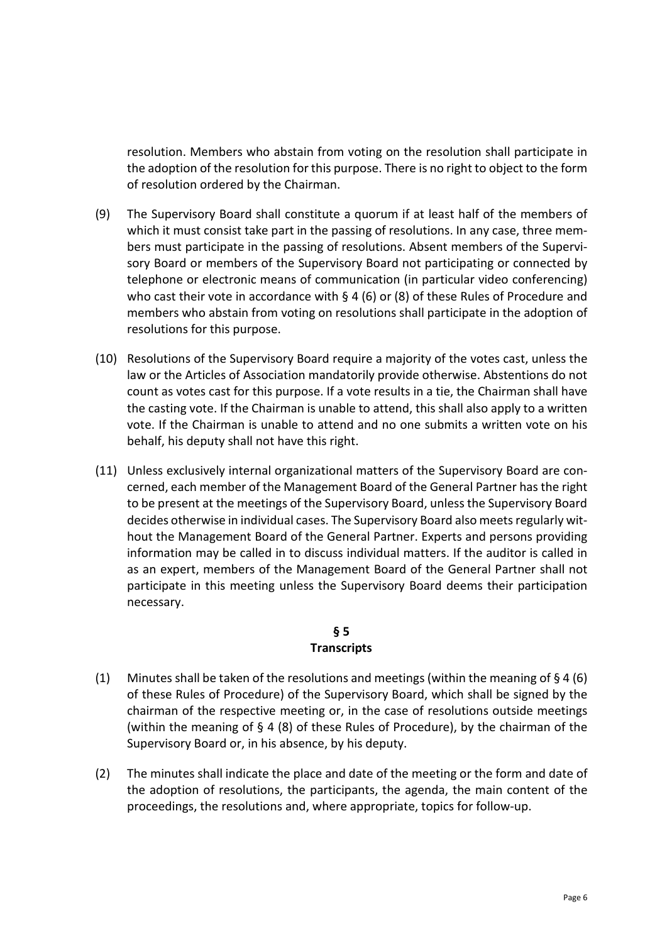resolution. Members who abstain from voting on the resolution shall participate in the adoption of the resolution for this purpose. There is no right to object to the form of resolution ordered by the Chairman.

- (9) The Supervisory Board shall constitute a quorum if at least half of the members of which it must consist take part in the passing of resolutions. In any case, three members must participate in the passing of resolutions. Absent members of the Supervisory Board or members of the Supervisory Board not participating or connected by telephone or electronic means of communication (in particular video conferencing) who cast their vote in accordance with  $\S 4$  [\(6\) o](#page-4-0)r [\(8\) of t](#page-4-1)hese Rules of Procedure and members who abstain from voting on resolutions shall participate in the adoption of resolutions for this purpose.
- <span id="page-5-0"></span>(10) Resolutions of the Supervisory Board require a majority of the votes cast, unless the law or the Articles of Association mandatorily provide otherwise. Abstentions do not count as votes cast for this purpose. If a vote results in a tie, the Chairman shall have the casting vote. If the Chairman is unable to attend, this shall also apply to a written vote. If the Chairman is unable to attend and no one submits a written vote on his behalf, his deputy shall not have this right.
- <span id="page-5-3"></span>(11) Unless exclusively internal organizational matters of the Supervisory Board are concerned, each member of the Management Board of the General Partner has the right to be present at the meetings of the Supervisory Board, unless the Supervisory Board decides otherwise in individual cases. The Supervisory Board also meets regularly without the Management Board of the General Partner. Experts and persons providing information may be called in to discuss individual matters. If the auditor is called in as an expert, members of the Management Board of the General Partner shall not participate in this meeting unless the Supervisory Board deems their participation necessary.

#### **§ 5 Transcripts**

- <span id="page-5-2"></span><span id="page-5-1"></span>(1) Minutes shall be taken of the resolutions and meetings (within the meaning of  $\S 4$  (6) of these Rules of Procedure) of the Supervisory Board, which shall be signed by the chairman of the respective meeting or, in the case of resolutions outside meetings (within the meaning of [§ 4](#page-3-0) [\(8\) of t](#page-4-1)hese Rules of Procedure), by the chairman of the Supervisory Board or, in his absence, by his deputy.
- (2) The minutes shall indicate the place and date of the meeting or the form and date of the adoption of resolutions, the participants, the agenda, the main content of the proceedings, the resolutions and, where appropriate, topics for follow-up.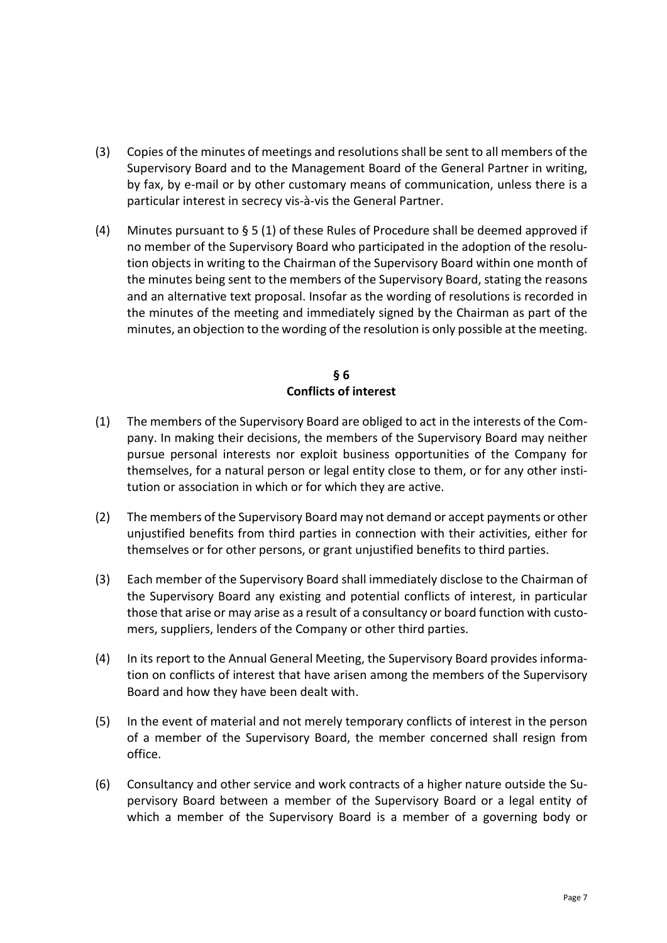- (3) Copies of the minutes of meetings and resolutions shall be sent to all members of the Supervisory Board and to the Management Board of the General Partner in writing, by fax, by e-mail or by other customary means of communication, unless there is a particular interest in secrecy vis-à-vis the General Partner.
- (4) Minutes pursuant to  $\S 5 (1)$  of these Rules of Procedure shall be deemed approved if no member of the Supervisory Board who participated in the adoption of the resolution objects in writing to the Chairman of the Supervisory Board within one month of the minutes being sent to the members of the Supervisory Board, stating the reasons and an alternative text proposal. Insofar as the wording of resolutions is recorded in the minutes of the meeting and immediately signed by the Chairman as part of the minutes, an objection to the wording of the resolution is only possible at the meeting.

## **§ 6 Conflicts of interest**

- (1) The members of the Supervisory Board are obliged to act in the interests of the Company. In making their decisions, the members of the Supervisory Board may neither pursue personal interests nor exploit business opportunities of the Company for themselves, for a natural person or legal entity close to them, or for any other institution or association in which or for which they are active.
- (2) The members of the Supervisory Board may not demand or accept payments or other unjustified benefits from third parties in connection with their activities, either for themselves or for other persons, or grant unjustified benefits to third parties.
- (3) Each member of the Supervisory Board shall immediately disclose to the Chairman of the Supervisory Board any existing and potential conflicts of interest, in particular those that arise or may arise as a result of a consultancy or board function with customers, suppliers, lenders of the Company or other third parties.
- (4) In its report to the Annual General Meeting, the Supervisory Board provides information on conflicts of interest that have arisen among the members of the Supervisory Board and how they have been dealt with.
- (5) In the event of material and not merely temporary conflicts of interest in the person of a member of the Supervisory Board, the member concerned shall resign from office.
- (6) Consultancy and other service and work contracts of a higher nature outside the Supervisory Board between a member of the Supervisory Board or a legal entity of which a member of the Supervisory Board is a member of a governing body or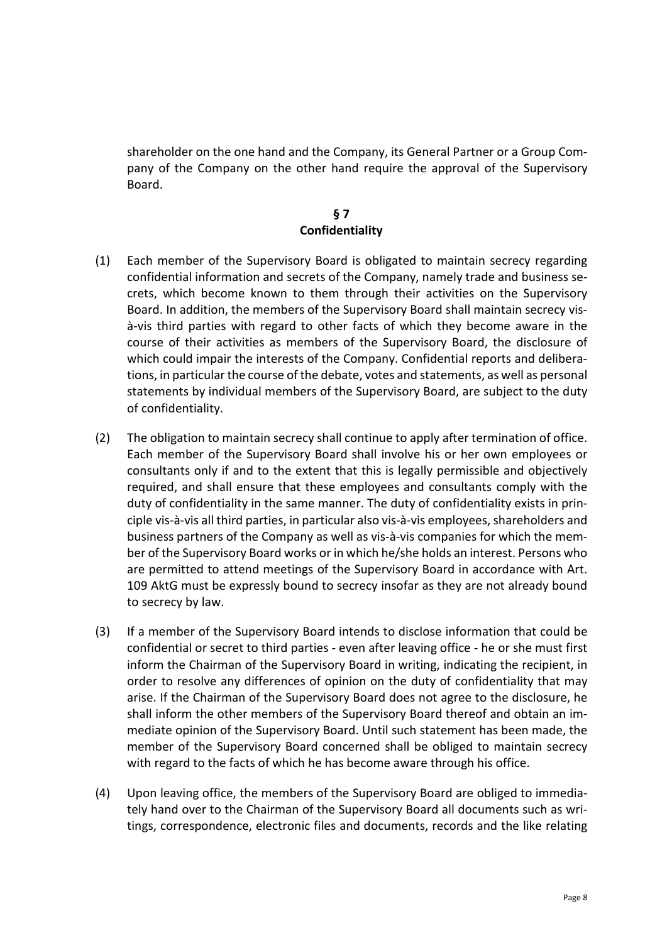shareholder on the one hand and the Company, its General Partner or a Group Company of the Company on the other hand require the approval of the Supervisory Board.

## **§ 7 Confidentiality**

- (1) Each member of the Supervisory Board is obligated to maintain secrecy regarding confidential information and secrets of the Company, namely trade and business secrets, which become known to them through their activities on the Supervisory Board. In addition, the members of the Supervisory Board shall maintain secrecy visà-vis third parties with regard to other facts of which they become aware in the course of their activities as members of the Supervisory Board, the disclosure of which could impair the interests of the Company. Confidential reports and deliberations, in particular the course of the debate, votes and statements, as well as personal statements by individual members of the Supervisory Board, are subject to the duty of confidentiality.
- (2) The obligation to maintain secrecy shall continue to apply after termination of office. Each member of the Supervisory Board shall involve his or her own employees or consultants only if and to the extent that this is legally permissible and objectively required, and shall ensure that these employees and consultants comply with the duty of confidentiality in the same manner. The duty of confidentiality exists in principle vis-à-vis all third parties, in particular also vis-à-vis employees, shareholders and business partners of the Company as well as vis-à-vis companies for which the member of the Supervisory Board works or in which he/she holds an interest. Persons who are permitted to attend meetings of the Supervisory Board in accordance with Art. 109 AktG must be expressly bound to secrecy insofar as they are not already bound to secrecy by law.
- (3) If a member of the Supervisory Board intends to disclose information that could be confidential or secret to third parties - even after leaving office - he or she must first inform the Chairman of the Supervisory Board in writing, indicating the recipient, in order to resolve any differences of opinion on the duty of confidentiality that may arise. If the Chairman of the Supervisory Board does not agree to the disclosure, he shall inform the other members of the Supervisory Board thereof and obtain an immediate opinion of the Supervisory Board. Until such statement has been made, the member of the Supervisory Board concerned shall be obliged to maintain secrecy with regard to the facts of which he has become aware through his office.
- (4) Upon leaving office, the members of the Supervisory Board are obliged to immediately hand over to the Chairman of the Supervisory Board all documents such as writings, correspondence, electronic files and documents, records and the like relating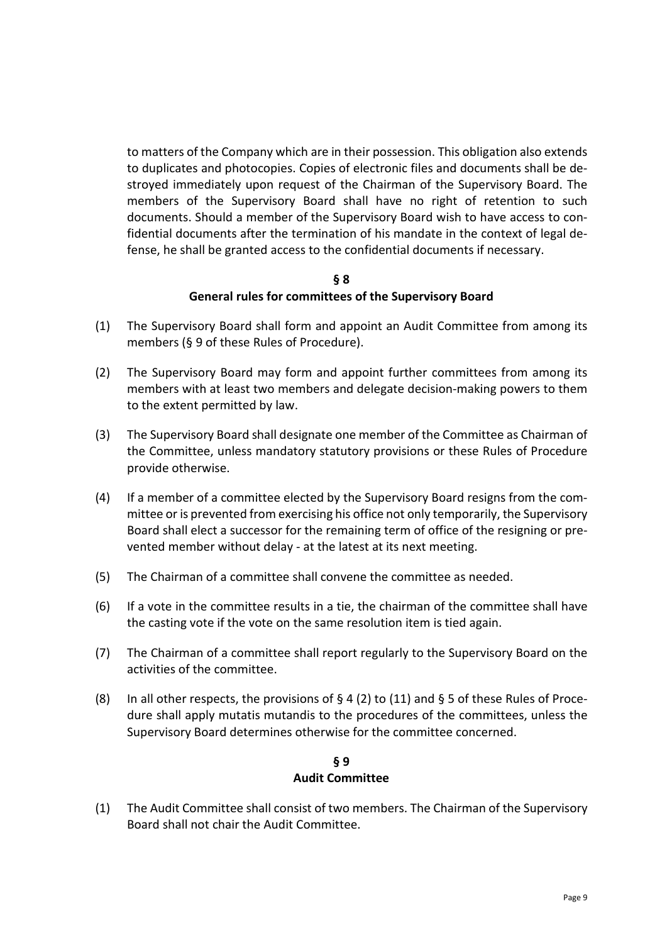to matters of the Company which are in their possession. This obligation also extends to duplicates and photocopies. Copies of electronic files and documents shall be destroyed immediately upon request of the Chairman of the Supervisory Board. The members of the Supervisory Board shall have no right of retention to such documents. Should a member of the Supervisory Board wish to have access to confidential documents after the termination of his mandate in the context of legal defense, he shall be granted access to the confidential documents if necessary.

#### **§ 8 General rules for committees of the Supervisory Board**

- (1) The Supervisory Board shall form and appoint an Audit Committee from among its members [\(§ 9 of t](#page-8-0)hese Rules of Procedure).
- (2) The Supervisory Board may form and appoint further committees from among its members with at least two members and delegate decision-making powers to them to the extent permitted by law.
- (3) The Supervisory Board shall designate one member of the Committee as Chairman of the Committee, unless mandatory statutory provisions or these Rules of Procedure provide otherwise.
- (4) If a member of a committee elected by the Supervisory Board resigns from the committee or is prevented from exercising his office not only temporarily, the Supervisory Board shall elect a successor for the remaining term of office of the resigning or prevented member without delay - at the latest at its next meeting.
- (5) The Chairman of a committee shall convene the committee as needed.
- (6) If a vote in the committee results in a tie, the chairman of the committee shall have the casting vote if the vote on the same resolution item is tied again.
- (7) The Chairman of a committee shall report regularly to the Supervisory Board on the activities of the committee.
- (8) In all other respects, the provisions of  $\S 4$  [\(2\) t](#page-3-1)o [\(11\) a](#page-5-3)nd  $\S 5$  of these Rules of Procedure shall apply mutatis mutandis to the procedures of the committees, unless the Supervisory Board determines otherwise for the committee concerned.

## **§ 9 Audit Committee**

<span id="page-8-0"></span>(1) The Audit Committee shall consist of two members. The Chairman of the Supervisory Board shall not chair the Audit Committee.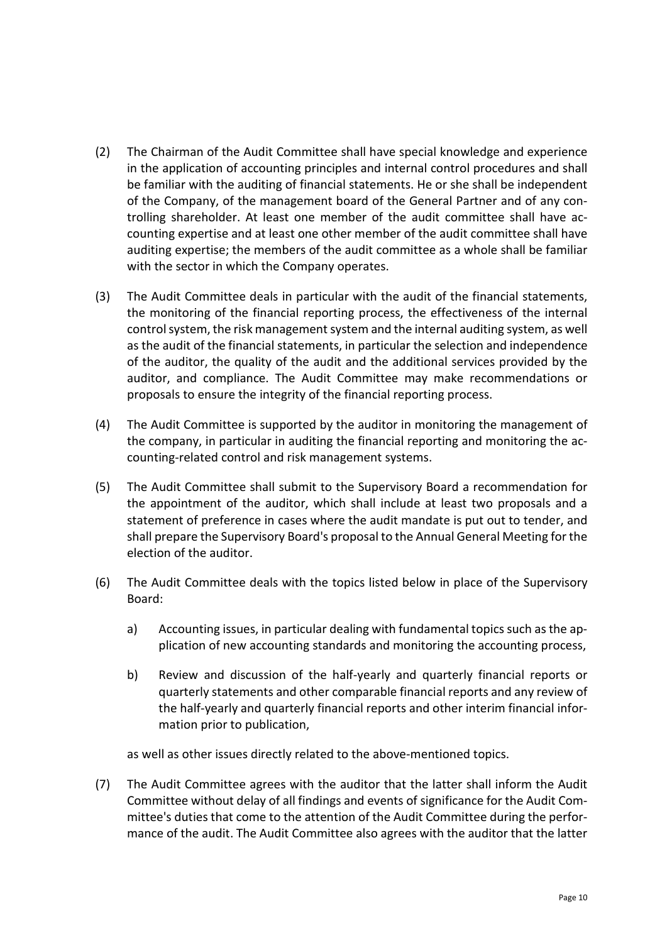- (2) The Chairman of the Audit Committee shall have special knowledge and experience in the application of accounting principles and internal control procedures and shall be familiar with the auditing of financial statements. He or she shall be independent of the Company, of the management board of the General Partner and of any controlling shareholder. At least one member of the audit committee shall have accounting expertise and at least one other member of the audit committee shall have auditing expertise; the members of the audit committee as a whole shall be familiar with the sector in which the Company operates.
- (3) The Audit Committee deals in particular with the audit of the financial statements, the monitoring of the financial reporting process, the effectiveness of the internal control system, the risk management system and the internal auditing system, as well as the audit of the financial statements, in particular the selection and independence of the auditor, the quality of the audit and the additional services provided by the auditor, and compliance. The Audit Committee may make recommendations or proposals to ensure the integrity of the financial reporting process.
- (4) The Audit Committee is supported by the auditor in monitoring the management of the company, in particular in auditing the financial reporting and monitoring the accounting-related control and risk management systems.
- (5) The Audit Committee shall submit to the Supervisory Board a recommendation for the appointment of the auditor, which shall include at least two proposals and a statement of preference in cases where the audit mandate is put out to tender, and shall prepare the Supervisory Board's proposal to the Annual General Meeting for the election of the auditor.
- (6) The Audit Committee deals with the topics listed below in place of the Supervisory Board:
	- a) Accounting issues, in particular dealing with fundamental topics such as the application of new accounting standards and monitoring the accounting process,
	- b) Review and discussion of the half-yearly and quarterly financial reports or quarterly statements and other comparable financial reports and any review of the half-yearly and quarterly financial reports and other interim financial information prior to publication,

as well as other issues directly related to the above-mentioned topics.

(7) The Audit Committee agrees with the auditor that the latter shall inform the Audit Committee without delay of all findings and events of significance for the Audit Committee's duties that come to the attention of the Audit Committee during the performance of the audit. The Audit Committee also agrees with the auditor that the latter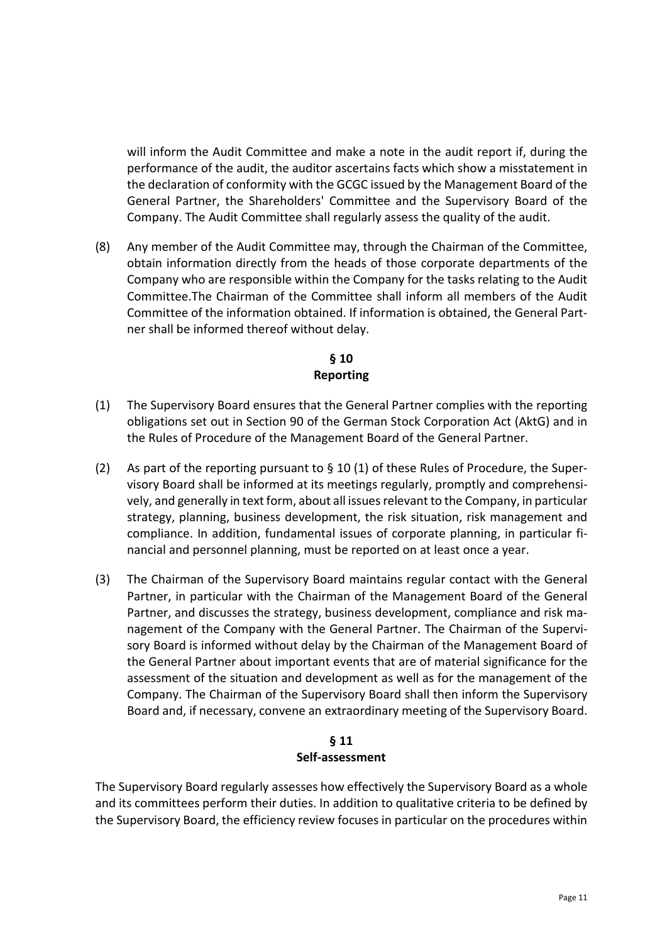will inform the Audit Committee and make a note in the audit report if, during the performance of the audit, the auditor ascertains facts which show a misstatement in the declaration of conformity with the GCGC issued by the Management Board of the General Partner, the Shareholders' Committee and the Supervisory Board of the Company. The Audit Committee shall regularly assess the quality of the audit.

(8) Any member of the Audit Committee may, through the Chairman of the Committee, obtain information directly from the heads of those corporate departments of the Company who are responsible within the Company for the tasks relating to the Audit Committee.The Chairman of the Committee shall inform all members of the Audit Committee of the information obtained. If information is obtained, the General Partner shall be informed thereof without delay.

## **§ 10 Reporting**

- <span id="page-10-1"></span><span id="page-10-0"></span>(1) The Supervisory Board ensures that the General Partner complies with the reporting obligations set out in Section 90 of the German Stock Corporation Act (AktG) and in the Rules of Procedure of the Management Board of the General Partner.
- (2) As part of the reporting pursuant to  $\S$  10 [\(1\) of t](#page-10-1)hese Rules of Procedure, the Supervisory Board shall be informed at its meetings regularly, promptly and comprehensively, and generally in text form, about all issues relevant to the Company, in particular strategy, planning, business development, the risk situation, risk management and compliance. In addition, fundamental issues of corporate planning, in particular financial and personnel planning, must be reported on at least once a year.
- (3) The Chairman of the Supervisory Board maintains regular contact with the General Partner, in particular with the Chairman of the Management Board of the General Partner, and discusses the strategy, business development, compliance and risk management of the Company with the General Partner. The Chairman of the Supervisory Board is informed without delay by the Chairman of the Management Board of the General Partner about important events that are of material significance for the assessment of the situation and development as well as for the management of the Company. The Chairman of the Supervisory Board shall then inform the Supervisory Board and, if necessary, convene an extraordinary meeting of the Supervisory Board.

#### **§ 11 Self-assessment**

The Supervisory Board regularly assesses how effectively the Supervisory Board as a whole and its committees perform their duties. In addition to qualitative criteria to be defined by the Supervisory Board, the efficiency review focuses in particular on the procedures within